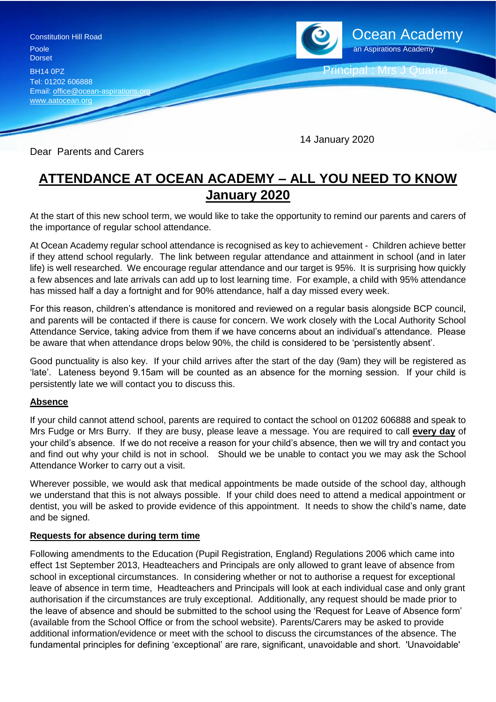

Dear Parents and Carers

## **ATTENDANCE AT OCEAN ACADEMY – ALL YOU NEED TO KNOW January 2020**

14 January 2020

At the start of this new school term, we would like to take the opportunity to remind our parents and carers of the importance of regular school attendance.

At Ocean Academy regular school attendance is recognised as key to achievement - Children achieve better if they attend school regularly. The link between regular attendance and attainment in school (and in later life) is well researched. We encourage regular attendance and our target is 95%. It is surprising how quickly a few absences and late arrivals can add up to lost learning time. For example, a child with 95% attendance has missed half a day a fortnight and for 90% attendance, half a day missed every week.

For this reason, children's attendance is monitored and reviewed on a regular basis alongside BCP council, and parents will be contacted if there is cause for concern. We work closely with the Local Authority School Attendance Service, taking advice from them if we have concerns about an individual's attendance. Please be aware that when attendance drops below 90%, the child is considered to be 'persistently absent'.

Good punctuality is also key. If your child arrives after the start of the day (9am) they will be registered as 'late'. Lateness beyond 9.15am will be counted as an absence for the morning session. If your child is persistently late we will contact you to discuss this.

## **Absence**

If your child cannot attend school, parents are required to contact the school on 01202 606888 and speak to Mrs Fudge or Mrs Burry. If they are busy, please leave a message. You are required to call **every day** of your child's absence. If we do not receive a reason for your child's absence, then we will try and contact you and find out why your child is not in school. Should we be unable to contact you we may ask the School Attendance Worker to carry out a visit.

Wherever possible, we would ask that medical appointments be made outside of the school day, although we understand that this is not always possible. If your child does need to attend a medical appointment or dentist, you will be asked to provide evidence of this appointment. It needs to show the child's name, date and be signed.

## **Requests for absence during term time**

Following amendments to the Education (Pupil Registration, England) Regulations 2006 which came into effect 1st September 2013, Headteachers and Principals are only allowed to grant leave of absence from school in exceptional circumstances. In considering whether or not to authorise a request for exceptional leave of absence in term time, Headteachers and Principals will look at each individual case and only grant authorisation if the circumstances are truly exceptional. Additionally, any request should be made prior to the leave of absence and should be submitted to the school using the 'Request for Leave of Absence form' (available from the School Office or from the school website). Parents/Carers may be asked to provide additional information/evidence or meet with the school to discuss the circumstances of the absence. The fundamental principles for defining 'exceptional' are rare, significant, unavoidable and short. 'Unavoidable'